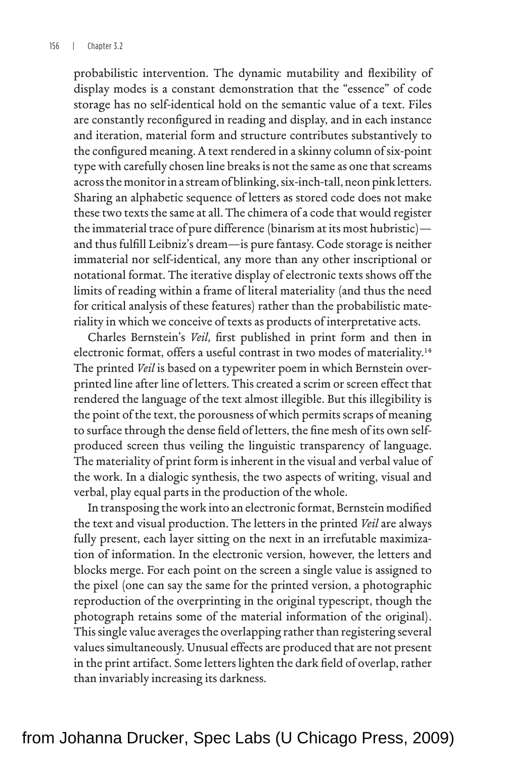riality in which we conceive of texts as products of interpretative acts.

Charles Bernstein's *Veil*, first published in print form and then in electronic format, offers a useful contrast in two modes of materiality.14 The printed *Veil* is based on a typewriter poem in which Bernstein overprinted line after line of letters. This created a scrim or screen effect that rendered the language of the text almost illegible. But this illegibility is the point of the text, the porousness of which permits scraps of meaning to surface through the dense field of letters, the fine mesh of its own selfproduced screen thus veiling the linguistic transparency of language. The materiality of print form is inherent in the visual and verbal value of the work. In a dialogic synthesis, the two aspects of writing, visual and verbal, play equal parts in the production of the whole.

In transposing the work into an electronic format, Bernstein modified the text and visual production. The letters in the printed *Veil* are always fully present, each layer sitting on the next in an irrefutable maximization of information. In the electronic version, however, the letters and blocks merge. For each point on the screen a single value is assigned to the pixel (one can say the same for the printed version, a photographic reproduction of the overprinting in the original typescript, though the photograph retains some of the material information of the original). This single value averages the overlapping rather than registering several values simultaneously. Unusual effects are produced that are not present in the print artifact. Some letters lighten the dark field of overlap, rather than invariably increasing its darkness.

from Johanna Drucker, Spec Labs (U Chicago Press, 2009)